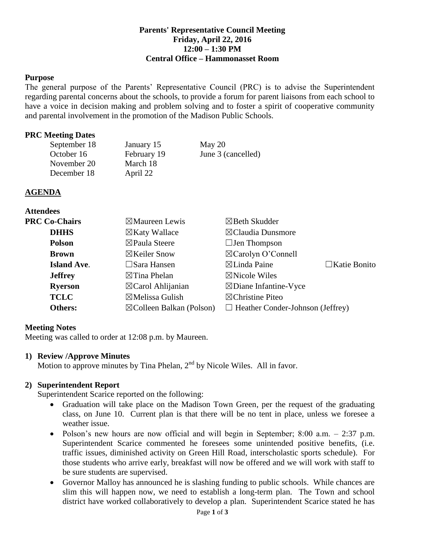### **Parents' Representative Council Meeting Friday, April 22, 2016 12:00 – 1:30 PM Central Office – Hammonasset Room**

### **Purpose**

The general purpose of the Parents' Representative Council (PRC) is to advise the Superintendent regarding parental concerns about the schools, to provide a forum for parent liaisons from each school to have a voice in decision making and problem solving and to foster a spirit of cooperative community and parental involvement in the promotion of the Madison Public Schools.

#### **PRC Meeting Dates**

| September 18 | January 15  | May $20$           |
|--------------|-------------|--------------------|
| October 16   | February 19 | June 3 (cancelled) |
| November 20  | March 18    |                    |
| December 18  | April 22    |                    |

#### **AGENDA**

**Attendees**

| Auchuets             |                                     |                                         |                     |
|----------------------|-------------------------------------|-----------------------------------------|---------------------|
| <b>PRC Co-Chairs</b> | $\boxtimes$ Maureen Lewis           | $\boxtimes$ Beth Skudder                |                     |
| <b>DHHS</b>          | $\boxtimes$ Katy Wallace            | $\boxtimes$ Claudia Dunsmore            |                     |
| <b>Polson</b>        | ⊠Paula Steere                       | $\Box$ Jen Thompson                     |                     |
| <b>Brown</b>         | $\boxtimes$ Keiler Snow             | $\boxtimes$ Carolyn O'Connell           |                     |
| <b>Island Ave.</b>   | $\Box$ Sara Hansen                  | $\boxtimes$ Linda Paine                 | $\Box$ Katie Bonito |
| <b>Jeffrey</b>       | $\boxtimes$ Tina Phelan             | $\boxtimes$ Nicole Wiles                |                     |
| <b>Ryerson</b>       | $\boxtimes$ Carol Ahlijanian        | $\boxtimes$ Diane Infantine-Vyce        |                     |
| <b>TCLC</b>          | $\boxtimes$ Melissa Gulish          | $\boxtimes$ Christine Piteo             |                     |
| Others:              | $\boxtimes$ Colleen Balkan (Polson) | $\Box$ Heather Conder-Johnson (Jeffrey) |                     |

#### **Meeting Notes**

Meeting was called to order at 12:08 p.m. by Maureen.

#### **1) Review /Approve Minutes**

Motion to approve minutes by Tina Phelan,  $2<sup>nd</sup>$  by Nicole Wiles. All in favor.

### **2) Superintendent Report**

Superintendent Scarice reported on the following:

- Graduation will take place on the Madison Town Green, per the request of the graduating class, on June 10. Current plan is that there will be no tent in place, unless we foresee a weather issue.
- Polson's new hours are now official and will begin in September;  $8:00$  a.m.  $-2:37$  p.m. Superintendent Scarice commented he foresees some unintended positive benefits, (i.e. traffic issues, diminished activity on Green Hill Road, interscholastic sports schedule). For those students who arrive early, breakfast will now be offered and we will work with staff to be sure students are supervised.
- Governor Malloy has announced he is slashing funding to public schools. While chances are slim this will happen now, we need to establish a long-term plan. The Town and school district have worked collaboratively to develop a plan. Superintendent Scarice stated he has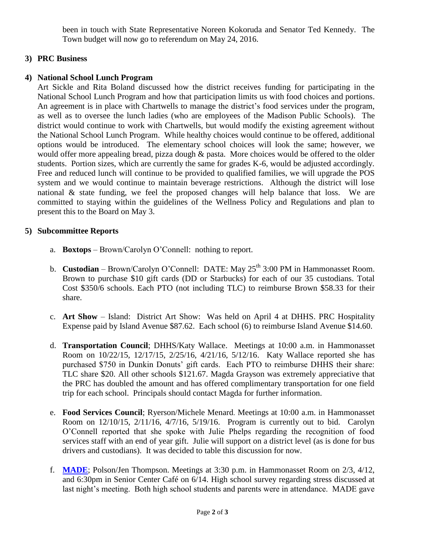been in touch with State Representative Noreen Kokoruda and Senator Ted Kennedy. The Town budget will now go to referendum on May 24, 2016.

## **3) PRC Business**

# **4) National School Lunch Program**

Art Sickle and Rita Boland discussed how the district receives funding for participating in the National School Lunch Program and how that participation limits us with food choices and portions. An agreement is in place with Chartwells to manage the district's food services under the program, as well as to oversee the lunch ladies (who are employees of the Madison Public Schools). The district would continue to work with Chartwells, but would modify the existing agreement without the National School Lunch Program. While healthy choices would continue to be offered, additional options would be introduced. The elementary school choices will look the same; however, we would offer more appealing bread, pizza dough & pasta. More choices would be offered to the older students. Portion sizes, which are currently the same for grades K-6, would be adjusted accordingly. Free and reduced lunch will continue to be provided to qualified families, we will upgrade the POS system and we would continue to maintain beverage restrictions. Although the district will lose national & state funding, we feel the proposed changes will help balance that loss. We are committed to staying within the guidelines of the Wellness Policy and Regulations and plan to present this to the Board on May 3.

# **5) Subcommittee Reports**

- a. **Boxtops** Brown/Carolyn O'Connell: nothing to report.
- b. **Custodian** Brown/Carolyn O'Connell: DATE: May 25<sup>th</sup> 3:00 PM in Hammonasset Room. Brown to purchase \$10 gift cards (DD or Starbucks) for each of our 35 custodians. Total Cost \$350/6 schools. Each PTO (not including TLC) to reimburse Brown \$58.33 for their share.
- c. **Art Show** Island: District Art Show: Was held on April 4 at DHHS. PRC Hospitality Expense paid by Island Avenue \$87.62. Each school (6) to reimburse Island Avenue \$14.60.
- d. **Transportation Council**; DHHS/Katy Wallace. Meetings at 10:00 a.m. in Hammonasset Room on 10/22/15, 12/17/15, 2/25/16, 4/21/16, 5/12/16. Katy Wallace reported she has purchased \$750 in Dunkin Donuts' gift cards. Each PTO to reimburse DHHS their share: TLC share \$20. All other schools \$121.67. Magda Grayson was extremely appreciative that the PRC has doubled the amount and has offered complimentary transportation for one field trip for each school. Principals should contact Magda for further information.
- e. **Food Services Council**; Ryerson/Michele Menard. Meetings at 10:00 a.m. in Hammonasset Room on 12/10/15, 2/11/16, 4/7/16, 5/19/16. Program is currently out to bid. Carolyn O'Connell reported that she spoke with Julie Phelps regarding the recognition of food services staff with an end of year gift. Julie will support on a district level (as is done for bus drivers and custodians). It was decided to table this discussion for now.
- f. **[MADE](http://www.madeinmadison.org/)**; Polson/Jen Thompson. Meetings at 3:30 p.m. in Hammonasset Room on 2/3, 4/12, and 6:30pm in Senior Center Café on 6/14. High school survey regarding stress discussed at last night's meeting. Both high school students and parents were in attendance. MADE gave